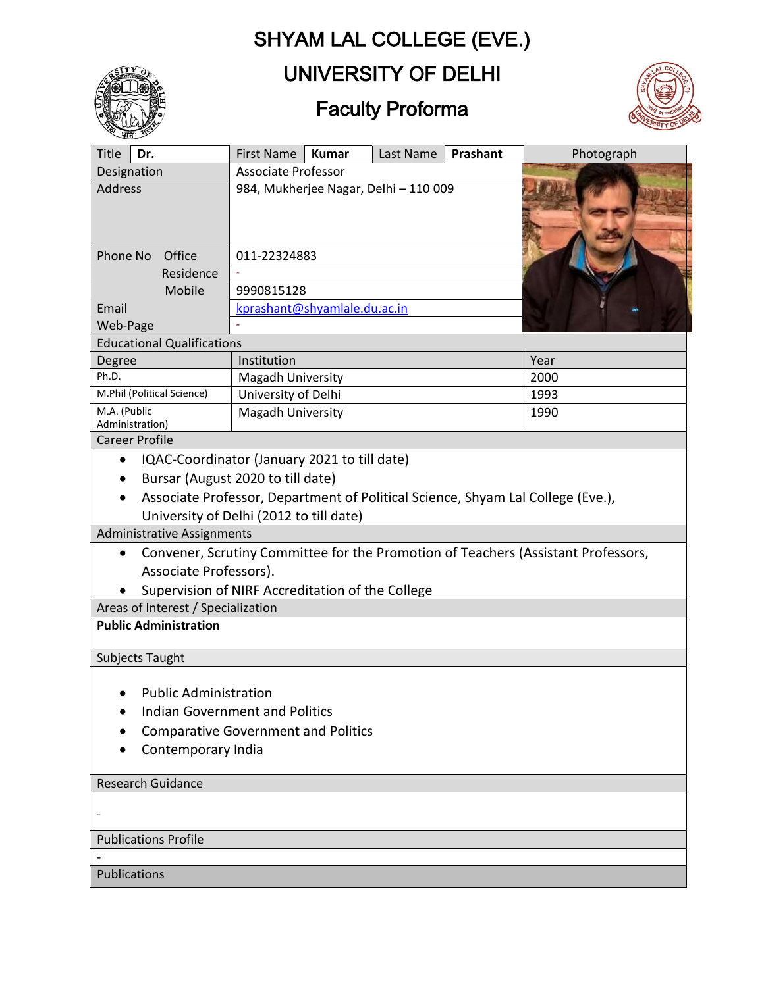# SHYAM LAL COLLEGE (EVE.)



### UNIVERSITY OF DELHI

## Faculty Proforma



| $\overline{\mathcal{A}}$ id $\overline{\mathcal{A}}$<br><b>Title</b><br>Dr.                    | First Name                                 | <b>Kumar</b> | Last Name | Prashant | Photograph |
|------------------------------------------------------------------------------------------------|--------------------------------------------|--------------|-----------|----------|------------|
| Designation                                                                                    | <b>Associate Professor</b>                 |              |           |          |            |
| <b>Address</b>                                                                                 | 984, Mukherjee Nagar, Delhi - 110 009      |              |           |          |            |
| Phone No<br>Office                                                                             | 011-22324883                               |              |           |          |            |
| Residence                                                                                      |                                            |              |           |          |            |
| Mobile                                                                                         | 9990815128                                 |              |           |          |            |
| Email                                                                                          | kprashant@shyamlale.du.ac.in               |              |           |          |            |
| Web-Page                                                                                       |                                            |              |           |          |            |
| <b>Educational Qualifications</b>                                                              |                                            |              |           |          |            |
| Degree                                                                                         | Institution                                |              |           |          | Year       |
| Ph.D.                                                                                          | Magadh University                          |              |           |          | 2000       |
| M.Phil (Political Science)                                                                     | University of Delhi                        |              |           |          | 1993       |
| M.A. (Public<br>Administration)                                                                | Magadh University                          |              |           | 1990     |            |
| <b>Career Profile</b>                                                                          |                                            |              |           |          |            |
| IQAC-Coordinator (January 2021 to till date)<br>$\bullet$                                      |                                            |              |           |          |            |
| Bursar (August 2020 to till date)                                                              |                                            |              |           |          |            |
| Associate Professor, Department of Political Science, Shyam Lal College (Eve.),                |                                            |              |           |          |            |
| University of Delhi (2012 to till date)                                                        |                                            |              |           |          |            |
| <b>Administrative Assignments</b>                                                              |                                            |              |           |          |            |
| Convener, Scrutiny Committee for the Promotion of Teachers (Assistant Professors,<br>$\bullet$ |                                            |              |           |          |            |
|                                                                                                | Associate Professors).                     |              |           |          |            |
| Supervision of NIRF Accreditation of the College                                               |                                            |              |           |          |            |
| Areas of Interest / Specialization                                                             |                                            |              |           |          |            |
| <b>Public Administration</b>                                                                   |                                            |              |           |          |            |
|                                                                                                |                                            |              |           |          |            |
| Subjects Taught                                                                                |                                            |              |           |          |            |
|                                                                                                |                                            |              |           |          |            |
| <b>Public Administration</b>                                                                   |                                            |              |           |          |            |
|                                                                                                | <b>Indian Government and Politics</b>      |              |           |          |            |
|                                                                                                | <b>Comparative Government and Politics</b> |              |           |          |            |
| Contemporary India                                                                             |                                            |              |           |          |            |
| <b>Research Guidance</b>                                                                       |                                            |              |           |          |            |
|                                                                                                |                                            |              |           |          |            |
|                                                                                                |                                            |              |           |          |            |
| <b>Publications Profile</b>                                                                    |                                            |              |           |          |            |
|                                                                                                |                                            |              |           |          |            |
| Publications                                                                                   |                                            |              |           |          |            |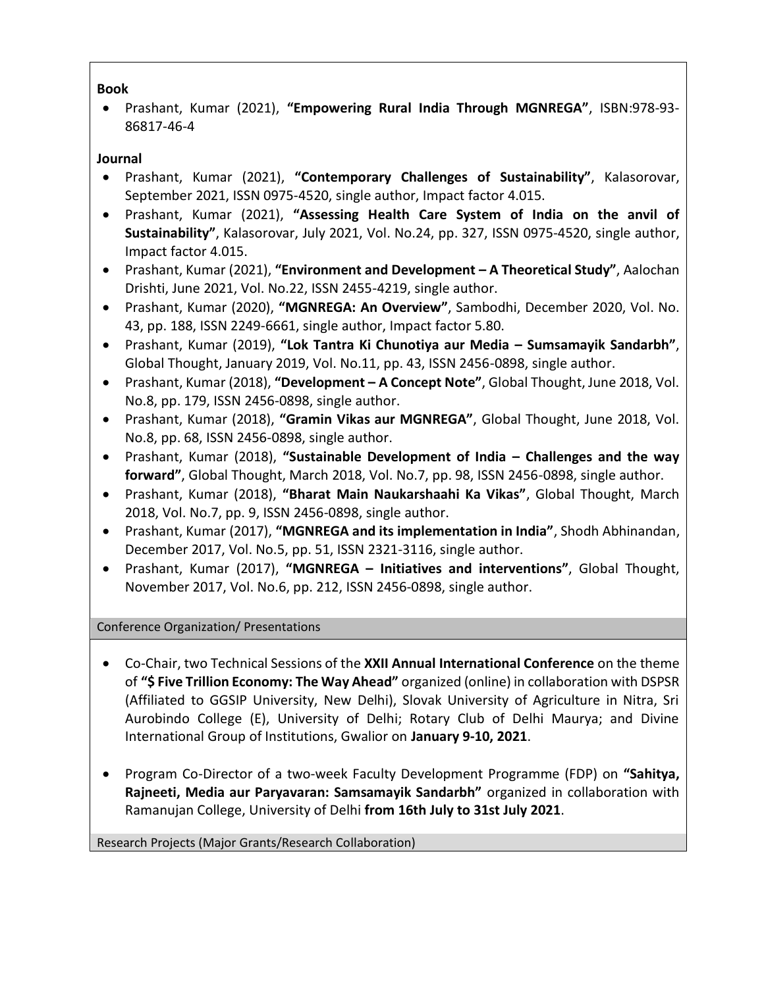### **Book**

• Prashant, Kumar (2021), **"Empowering Rural India Through MGNREGA"**, ISBN:978-93- 86817-46-4

### **Journal**

- Prashant, Kumar (2021), **"Contemporary Challenges of Sustainability"**, Kalasorovar, September 2021, ISSN 0975-4520, single author, Impact factor 4.015.
- Prashant, Kumar (2021), **"Assessing Health Care System of India on the anvil of Sustainability"**, Kalasorovar, July 2021, Vol. No.24, pp. 327, ISSN 0975-4520, single author, Impact factor 4.015.
- Prashant, Kumar (2021), **"Environment and Development – A Theoretical Study"**, Aalochan Drishti, June 2021, Vol. No.22, ISSN 2455-4219, single author.
- Prashant, Kumar (2020), **"MGNREGA: An Overview"**, Sambodhi, December 2020, Vol. No. 43, pp. 188, ISSN 2249-6661, single author, Impact factor 5.80.
- Prashant, Kumar (2019), **"Lok Tantra Ki Chunotiya aur Media – Sumsamayik Sandarbh"**, Global Thought, January 2019, Vol. No.11, pp. 43, ISSN 2456-0898, single author.
- Prashant, Kumar (2018), **"Development – A Concept Note"**, Global Thought, June 2018, Vol. No.8, pp. 179, ISSN 2456-0898, single author.
- Prashant, Kumar (2018), **"Gramin Vikas aur MGNREGA"**, Global Thought, June 2018, Vol. No.8, pp. 68, ISSN 2456-0898, single author.
- Prashant, Kumar (2018), **"Sustainable Development of India – Challenges and the way forward"**, Global Thought, March 2018, Vol. No.7, pp. 98, ISSN 2456-0898, single author.
- Prashant, Kumar (2018), **"Bharat Main Naukarshaahi Ka Vikas"**, Global Thought, March 2018, Vol. No.7, pp. 9, ISSN 2456-0898, single author.
- Prashant, Kumar (2017), **"MGNREGA and its implementation in India"**, Shodh Abhinandan, December 2017, Vol. No.5, pp. 51, ISSN 2321-3116, single author.
- Prashant, Kumar (2017), **"MGNREGA – Initiatives and interventions"**, Global Thought, November 2017, Vol. No.6, pp. 212, ISSN 2456-0898, single author.

Conference Organization/ Presentations

- Co-Chair, two Technical Sessions of the **XXII Annual International Conference** on the theme of **"\$ Five Trillion Economy: The Way Ahead"** organized (online) in collaboration with DSPSR (Affiliated to GGSIP University, New Delhi), Slovak University of Agriculture in Nitra, Sri Aurobindo College (E), University of Delhi; Rotary Club of Delhi Maurya; and Divine International Group of Institutions, Gwalior on **January 9-10, 2021**.
- Program Co-Director of a two-week Faculty Development Programme (FDP) on **"Sahitya, Rajneeti, Media aur Paryavaran: Samsamayik Sandarbh"** organized in collaboration with Ramanujan College, University of Delhi **from 16th July to 31st July 2021**.

Research Projects (Major Grants/Research Collaboration)